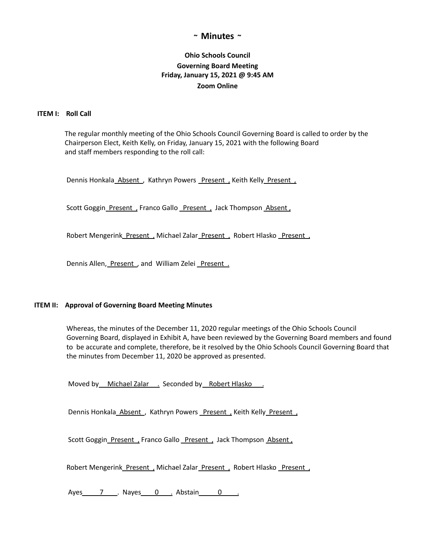# **~ Minutes ~**

# **Ohio Schools Council Governing Board Meeting Friday, January 15, 2021 @ 9:45 AM Zoom Online**

## **ITEM I: Roll Call**

The regular monthly meeting of the Ohio Schools Council Governing Board is called to order by the Chairperson Elect, Keith Kelly, on Friday, January 15, 2021 with the following Board and staff members responding to the roll call:

Dennis Honkala Absent , Kathryn Powers Present , Keith Kelly Present ,

Scott Goggin\_Present, Franco Gallo \_Present, Jack Thompson\_Absent,

Robert Mengerink Present, Michael Zalar Present, Robert Hlasko Present,

Dennis Allen, Present, and William Zelei Present.

### **ITEM II: Approval of Governing Board Meeting Minutes**

Whereas, the minutes of the December 11, 2020 regular meetings of the Ohio Schools Council Governing Board, displayed in Exhibit A, have been reviewed by the Governing Board members and found to be accurate and complete, therefore, be it resolved by the Ohio Schools Council Governing Board that the minutes from December 11, 2020 be approved as presented.

Moved by Michael Zalar . Seconded by Robert Hlasko .

Dennis Honkala Absent, Kathryn Powers Present, Keith Kelly Present,

Scott Goggin Present, Franco Gallo Present, Jack Thompson Absent,

Robert Mengerink Present, Michael Zalar Present, Robert Hlasko Present,

Ayes 7 . Nayes 0 . Abstain 0 .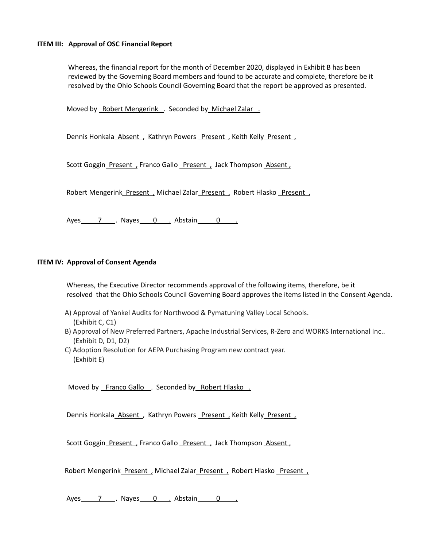#### **ITEM III: Approval of OSC Financial Report**

Whereas, the financial report for the month of December 2020, displayed in Exhibit B has been reviewed by the Governing Board members and found to be accurate and complete, therefore be it resolved by the Ohio Schools Council Governing Board that the report be approved as presented.

Moved by Robert Mengerink . Seconded by Michael Zalar .

Dennis Honkala Absent, Kathryn Powers Present, Keith Kelly Present,

Scott Goggin Present , Franco Gallo Present , Jack Thompson Absent ,

Robert Mengerink Present, Michael Zalar Present, Robert Hlasko Present,

Ayes 7 . Nayes 0 . Abstain 0 .

### **ITEM IV: Approval of Consent Agenda**

Whereas, the Executive Director recommends approval of the following items, therefore, be it resolved that the Ohio Schools Council Governing Board approves the items listed in the Consent Agenda.

- A) Approval of Yankel Audits for Northwood & Pymatuning Valley Local Schools. (Exhibit C, C1)
- B) Approval of New Preferred Partners, Apache Industrial Services, R-Zero and WORKS International Inc.. (Exhibit D, D1, D2)
- C) Adoption Resolution for AEPA Purchasing Program new contract year. (Exhibit E)

Moved by Franco Gallo . Seconded by Robert Hlasko.

Dennis Honkala Absent, Kathryn Powers Present, Keith Kelly Present,

Scott Goggin\_Present , Franco Gallo \_Present , Jack Thompson Absent ,

Robert Mengerink Present, Michael Zalar Present, Robert Hlasko Present,

Ayes 7 . Nayes 0 . Abstain 0 .